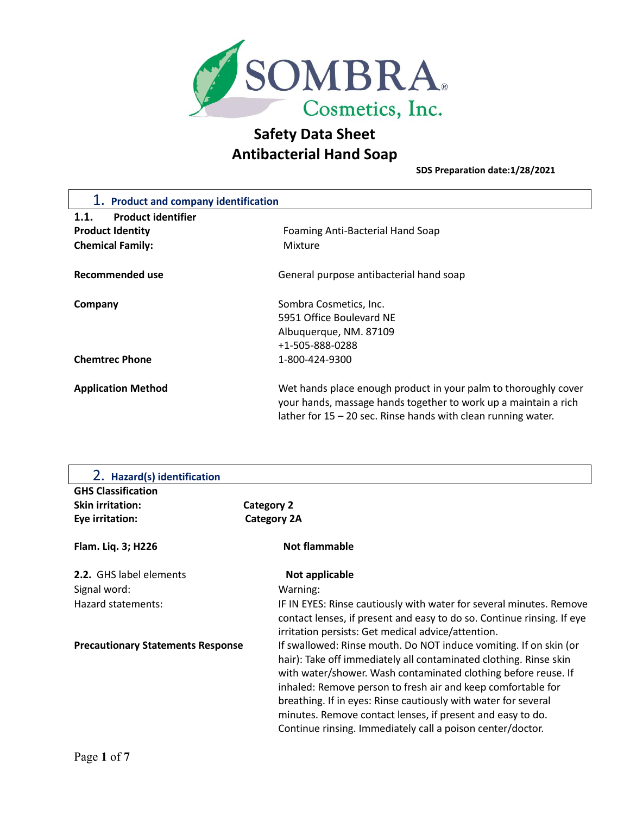

**SDS Preparation date:1/28/2021**

| 1. Product and company identification |                                                                                                                                                                                                       |  |
|---------------------------------------|-------------------------------------------------------------------------------------------------------------------------------------------------------------------------------------------------------|--|
| <b>Product identifier</b><br>1.1.     |                                                                                                                                                                                                       |  |
| <b>Product Identity</b>               | Foaming Anti-Bacterial Hand Soap                                                                                                                                                                      |  |
| <b>Chemical Family:</b>               | Mixture                                                                                                                                                                                               |  |
| Recommended use                       | General purpose antibacterial hand soap                                                                                                                                                               |  |
| Company                               | Sombra Cosmetics, Inc.                                                                                                                                                                                |  |
|                                       | 5951 Office Boulevard NE                                                                                                                                                                              |  |
|                                       | Albuquerque, NM. 87109                                                                                                                                                                                |  |
|                                       | +1-505-888-0288                                                                                                                                                                                       |  |
| <b>Chemtrec Phone</b>                 | 1-800-424-9300                                                                                                                                                                                        |  |
| <b>Application Method</b>             | Wet hands place enough product in your palm to thoroughly cover<br>your hands, massage hands together to work up a maintain a rich<br>lather for $15 - 20$ sec. Rinse hands with clean running water. |  |

| 2. Hazard(s) identification              |                                                                                                                              |
|------------------------------------------|------------------------------------------------------------------------------------------------------------------------------|
| <b>GHS Classification</b>                |                                                                                                                              |
| <b>Skin irritation:</b>                  | <b>Category 2</b>                                                                                                            |
| Eye irritation:                          | <b>Category 2A</b>                                                                                                           |
| Flam. Liq. 3; H226                       | <b>Not flammable</b>                                                                                                         |
| 2.2. GHS label elements                  | Not applicable                                                                                                               |
| Signal word:                             | Warning:                                                                                                                     |
| Hazard statements:                       | IF IN EYES: Rinse cautiously with water for several minutes. Remove                                                          |
|                                          | contact lenses, if present and easy to do so. Continue rinsing. If eye<br>irritation persists: Get medical advice/attention. |
| <b>Precautionary Statements Response</b> | If swallowed: Rinse mouth. Do NOT induce vomiting. If on skin (or                                                            |
|                                          | hair): Take off immediately all contaminated clothing. Rinse skin                                                            |
|                                          | with water/shower. Wash contaminated clothing before reuse. If                                                               |
|                                          | inhaled: Remove person to fresh air and keep comfortable for                                                                 |
|                                          | breathing. If in eyes: Rinse cautiously with water for several                                                               |
|                                          | minutes. Remove contact lenses, if present and easy to do.                                                                   |
|                                          | Continue rinsing. Immediately call a poison center/doctor.                                                                   |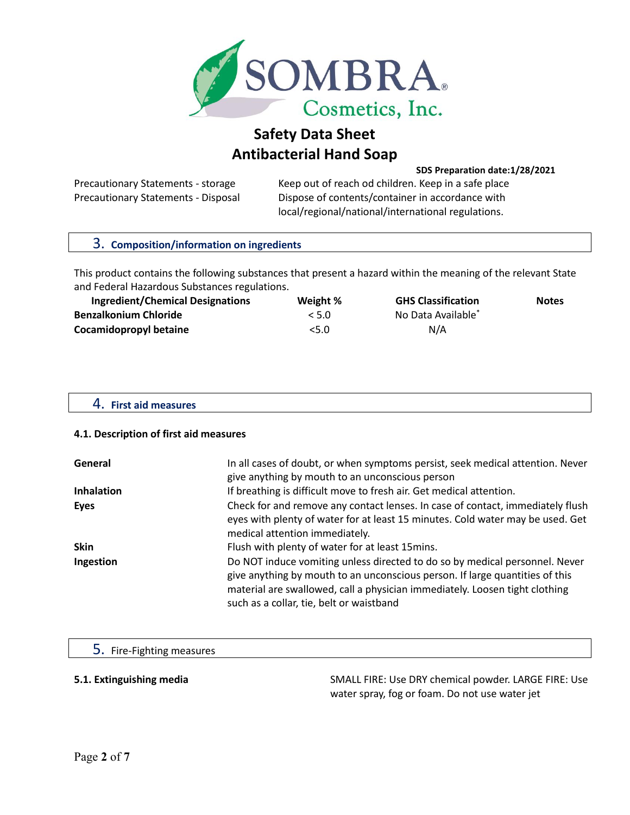

**SDS Preparation date:1/28/2021**

Precautionary Statements - storage Keep out of reach od children. Keep in a safe place Precautionary Statements - Disposal Dispose of contents/container in accordance with local/regional/national/international regulations.

| 3. Composition/information on ingredients                                                                                                                      |          |                           |              |
|----------------------------------------------------------------------------------------------------------------------------------------------------------------|----------|---------------------------|--------------|
| This product contains the following substances that present a hazard within the meaning of the relevant State<br>and Federal Hazardous Substances regulations. |          |                           |              |
| <b>Ingredient/Chemical Designations</b>                                                                                                                        | Weight % | <b>GHS Classification</b> | <b>Notes</b> |
| <b>Benzalkonium Chloride</b>                                                                                                                                   | < 5.0    | No Data Available*        |              |
| <b>Cocamidopropyl betaine</b>                                                                                                                                  | 5.0      | N/A                       |              |

## 4. **First aid measures**

## **4.1. Description of first aid measures**

| General           | In all cases of doubt, or when symptoms persist, seek medical attention. Never<br>give anything by mouth to an unconscious person                                                                                                                                                      |
|-------------------|----------------------------------------------------------------------------------------------------------------------------------------------------------------------------------------------------------------------------------------------------------------------------------------|
| <b>Inhalation</b> | If breathing is difficult move to fresh air. Get medical attention.                                                                                                                                                                                                                    |
| Eyes              | Check for and remove any contact lenses. In case of contact, immediately flush<br>eyes with plenty of water for at least 15 minutes. Cold water may be used. Get<br>medical attention immediately.                                                                                     |
| <b>Skin</b>       | Flush with plenty of water for at least 15mins.                                                                                                                                                                                                                                        |
| Ingestion         | Do NOT induce vomiting unless directed to do so by medical personnel. Never<br>give anything by mouth to an unconscious person. If large quantities of this<br>material are swallowed, call a physician immediately. Loosen tight clothing<br>such as a collar, tie, belt or waistband |

## 5. Fire-Fighting measures

**5.1. Extinguishing media** SMALL FIRE: Use DRY chemical powder. LARGE FIRE: Use water spray, fog or foam. Do not use water jet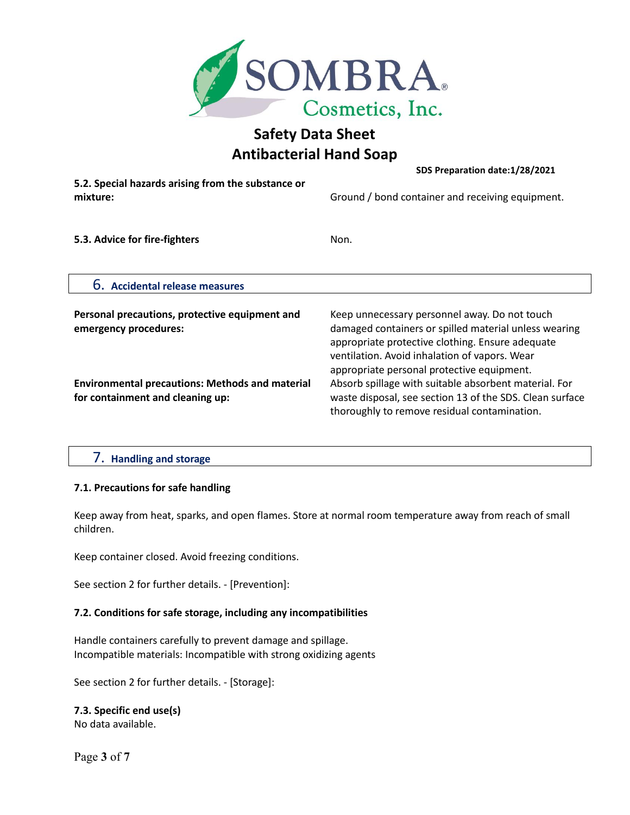

**SDS Preparation date:1/28/2021**

**5.2. Special hazards arising from the substance or** 

**mixture:** Ground / bond container and receiving equipment.

**5.3. Advice for fire-fighters Non.** 

6. **Accidental release measures**

| Personal precautions, protective equipment and<br>emergency procedures:                    | Keep unnecessary personnel away. Do not touch<br>damaged containers or spilled material unless wearing<br>appropriate protective clothing. Ensure adequate<br>ventilation. Avoid inhalation of vapors. Wear |
|--------------------------------------------------------------------------------------------|-------------------------------------------------------------------------------------------------------------------------------------------------------------------------------------------------------------|
| <b>Environmental precautions: Methods and material</b><br>for containment and cleaning up: | appropriate personal protective equipment.<br>Absorb spillage with suitable absorbent material. For<br>waste disposal, see section 13 of the SDS. Clean surface                                             |
|                                                                                            | thoroughly to remove residual contamination.                                                                                                                                                                |

# 7. **Handling and storage**

## **7.1. Precautions for safe handling**

Keep away from heat, sparks, and open flames. Store at normal room temperature away from reach of small children.

Keep container closed. Avoid freezing conditions.

See section 2 for further details. - [Prevention]:

# **7.2. Conditions for safe storage, including any incompatibilities**

Handle containers carefully to prevent damage and spillage. Incompatible materials: Incompatible with strong oxidizing agents

See section 2 for further details. - [Storage]:

**7.3. Specific end use(s)** No data available.

Page **3** of **7**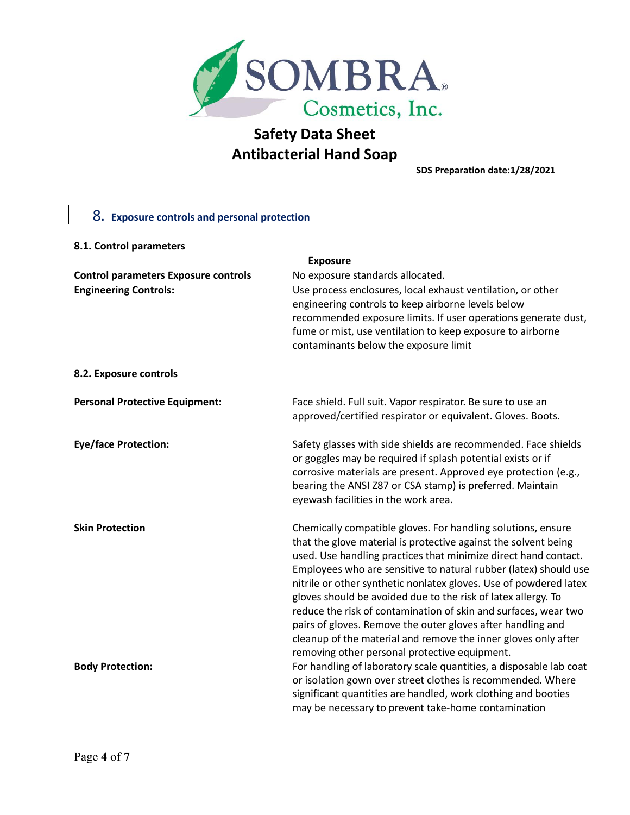

**SDS Preparation date:1/28/2021**

| 8. Exposure controls and personal protection |                                                                                                                                  |
|----------------------------------------------|----------------------------------------------------------------------------------------------------------------------------------|
|                                              |                                                                                                                                  |
| 8.1. Control parameters                      |                                                                                                                                  |
|                                              | <b>Exposure</b>                                                                                                                  |
| <b>Control parameters Exposure controls</b>  | No exposure standards allocated.                                                                                                 |
| <b>Engineering Controls:</b>                 | Use process enclosures, local exhaust ventilation, or other<br>engineering controls to keep airborne levels below                |
|                                              | recommended exposure limits. If user operations generate dust,                                                                   |
|                                              | fume or mist, use ventilation to keep exposure to airborne                                                                       |
|                                              | contaminants below the exposure limit                                                                                            |
| 8.2. Exposure controls                       |                                                                                                                                  |
| <b>Personal Protective Equipment:</b>        | Face shield. Full suit. Vapor respirator. Be sure to use an                                                                      |
|                                              | approved/certified respirator or equivalent. Gloves. Boots.                                                                      |
| <b>Eye/face Protection:</b>                  | Safety glasses with side shields are recommended. Face shields                                                                   |
|                                              | or goggles may be required if splash potential exists or if                                                                      |
|                                              | corrosive materials are present. Approved eye protection (e.g.,                                                                  |
|                                              | bearing the ANSI Z87 or CSA stamp) is preferred. Maintain                                                                        |
|                                              | eyewash facilities in the work area.                                                                                             |
| <b>Skin Protection</b>                       | Chemically compatible gloves. For handling solutions, ensure                                                                     |
|                                              | that the glove material is protective against the solvent being                                                                  |
|                                              | used. Use handling practices that minimize direct hand contact.                                                                  |
|                                              | Employees who are sensitive to natural rubber (latex) should use                                                                 |
|                                              | nitrile or other synthetic nonlatex gloves. Use of powdered latex                                                                |
|                                              | gloves should be avoided due to the risk of latex allergy. To<br>reduce the risk of contamination of skin and surfaces, wear two |
|                                              | pairs of gloves. Remove the outer gloves after handling and                                                                      |
|                                              | cleanup of the material and remove the inner gloves only after                                                                   |
|                                              | removing other personal protective equipment.                                                                                    |
| <b>Body Protection:</b>                      | For handling of laboratory scale quantities, a disposable lab coat                                                               |
|                                              | or isolation gown over street clothes is recommended. Where                                                                      |
|                                              | significant quantities are handled, work clothing and booties                                                                    |
|                                              | may be necessary to prevent take-home contamination                                                                              |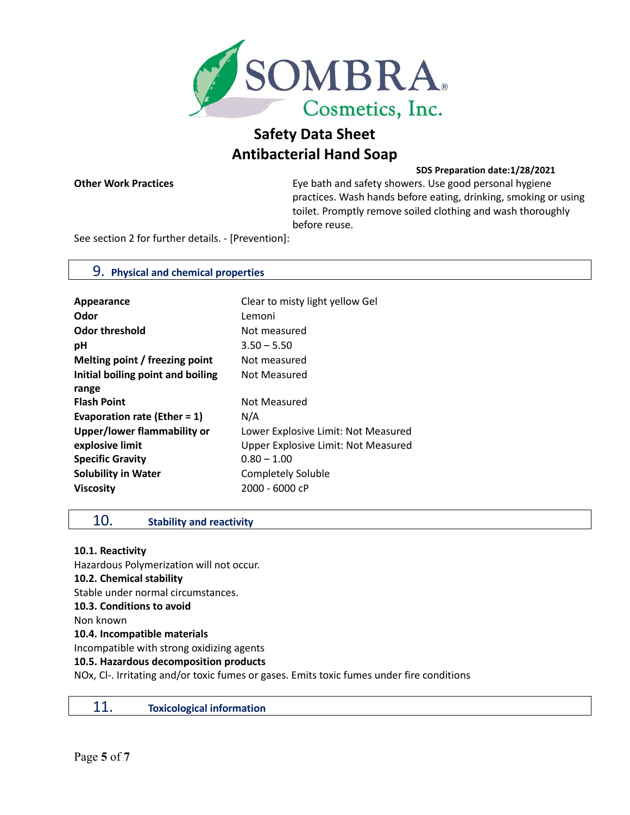

**SDS Preparation date:1/28/2021**

**Other Work Practices** Eye bath and safety showers. Use good personal hygiene practices. Wash hands before eating, drinking, smoking or using toilet. Promptly remove soiled clothing and wash thoroughly before reuse.

See section 2 for further details. - [Prevention]:

## 9. **Physical and chemical properties**

| Appearance                        | Clear to misty light yellow Gel     |
|-----------------------------------|-------------------------------------|
| Odor                              | Lemoni                              |
| <b>Odor threshold</b>             | Not measured                        |
| рH                                | $3.50 - 5.50$                       |
| Melting point / freezing point    | Not measured                        |
| Initial boiling point and boiling | Not Measured                        |
| range                             |                                     |
| <b>Flash Point</b>                | Not Measured                        |
| Evaporation rate (Ether = $1$ )   | N/A                                 |
| Upper/lower flammability or       | Lower Explosive Limit: Not Measured |
| explosive limit                   | Upper Explosive Limit: Not Measured |
| <b>Specific Gravity</b>           | $0.80 - 1.00$                       |
| <b>Solubility in Water</b>        | <b>Completely Soluble</b>           |
| <b>Viscosity</b>                  | 2000 - 6000 cP                      |
|                                   |                                     |

# 10. **Stability and reactivity**

**10.1. Reactivity**

Hazardous Polymerization will not occur. **10.2. Chemical stability**  Stable under normal circumstances. **10.3. Conditions to avoid** Non known **10.4. Incompatible materials** Incompatible with strong oxidizing agents **10.5. Hazardous decomposition products** NOx, Cl-. Irritating and/or toxic fumes or gases. Emits toxic fumes under fire conditions

| 11.<br><b>Toxicological information</b> |
|-----------------------------------------|
|-----------------------------------------|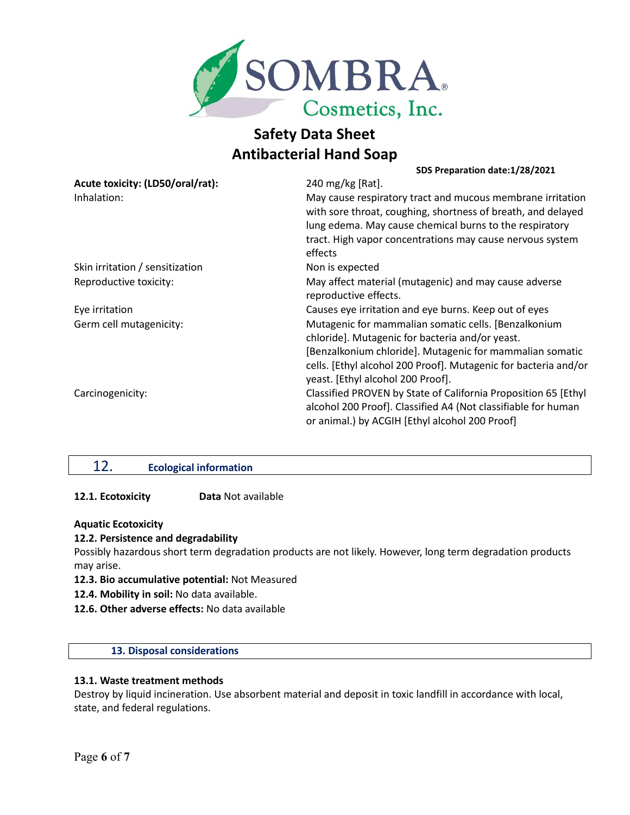

#### **SDS Preparation date:1/28/2021**

| Acute toxicity: (LD50/oral/rat): | 240 mg/kg [Rat].                                                |
|----------------------------------|-----------------------------------------------------------------|
| Inhalation:                      | May cause respiratory tract and mucous membrane irritation      |
|                                  | with sore throat, coughing, shortness of breath, and delayed    |
|                                  | lung edema. May cause chemical burns to the respiratory         |
|                                  | tract. High vapor concentrations may cause nervous system       |
|                                  | effects                                                         |
| Skin irritation / sensitization  | Non is expected                                                 |
| Reproductive toxicity:           | May affect material (mutagenic) and may cause adverse           |
|                                  | reproductive effects.                                           |
| Eye irritation                   | Causes eye irritation and eye burns. Keep out of eyes           |
| Germ cell mutagenicity:          | Mutagenic for mammalian somatic cells. [Benzalkonium            |
|                                  | chloride]. Mutagenic for bacteria and/or yeast.                 |
|                                  | [Benzalkonium chloride]. Mutagenic for mammalian somatic        |
|                                  | cells. [Ethyl alcohol 200 Proof]. Mutagenic for bacteria and/or |
|                                  | yeast. [Ethyl alcohol 200 Proof].                               |
| Carcinogenicity:                 | Classified PROVEN by State of California Proposition 65 [Ethyl  |
|                                  | alcohol 200 Proof]. Classified A4 (Not classifiable for human   |
|                                  | or animal.) by ACGIH [Ethyl alcohol 200 Proof]                  |

# 12. **Ecological information**

## **12.1. Ecotoxicity Data** Not available

## **Aquatic Ecotoxicity**

## **12.2. Persistence and degradability**

Possibly hazardous short term degradation products are not likely. However, long term degradation products may arise.

- **12.3. Bio accumulative potential:** Not Measured
- **12.4. Mobility in soil:** No data available.
- **12.6. Other adverse effects:** No data available

# **13. Disposal considerations**

## **13.1. Waste treatment methods**

Destroy by liquid incineration. Use absorbent material and deposit in toxic landfill in accordance with local, state, and federal regulations.